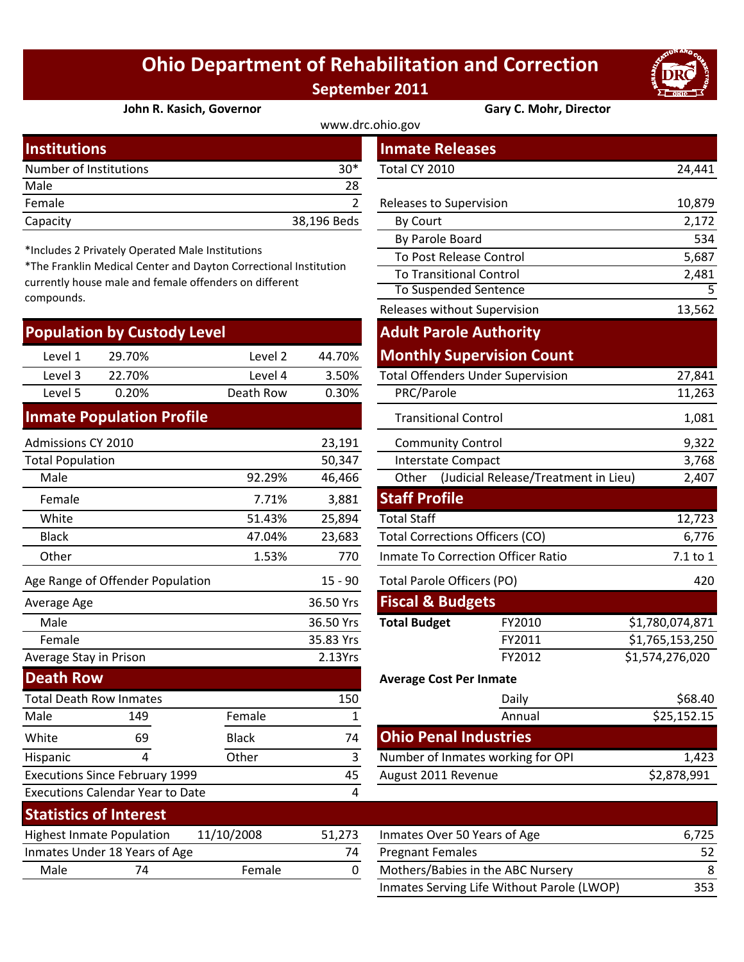## **Ohio Department of Rehabilitation and Correction September 2011**



**John R. Kasich, Governor Gary C. Mohr, Director**

| <b>Institutions</b>    |             | <b>Inmate Releases</b>         |        |  |
|------------------------|-------------|--------------------------------|--------|--|
| Number of Institutions | $30*$       | Total CY 2010                  | 24,441 |  |
| Male                   | 28          |                                |        |  |
| Female                 |             | <b>Releases to Supervision</b> | 10,879 |  |
| Capacity               | 38,196 Beds | By Court                       | 2,172  |  |

\*Includes 2 Privately Operated Male Institutions

\*The Franklin Medical Center and Dayton Correctional Institution currently house male and female offenders on different compounds.

| <b>Population by Custody Level</b> |                                                                                          |           |        |  |  |  |
|------------------------------------|------------------------------------------------------------------------------------------|-----------|--------|--|--|--|
| Level 1                            | 29.70%                                                                                   | Level 2   | 44.70% |  |  |  |
| Level 3                            | 22.70%                                                                                   | Level 4   | 3.50%  |  |  |  |
| Level 5                            | 0.20%                                                                                    | Death Row | 0.30%  |  |  |  |
|                                    | $\mathcal{L}(\mathcal{L})$ and $\mathcal{L}(\mathcal{L})$ and $\mathcal{L}(\mathcal{L})$ |           |        |  |  |  |

## **Inmate Population Profile**

| Admissions CY 2010               |     |         | 23,191                     | <b>Community Control</b>           |                                        |  | 9,322           |
|----------------------------------|-----|---------|----------------------------|------------------------------------|----------------------------------------|--|-----------------|
| <b>Total Population</b>          |     |         | 50,347                     |                                    | Interstate Compact                     |  | 3,768           |
| Male                             |     | 92.29%  | 46,466                     | Other                              | (Judicial Release/Treatment in Lieu)   |  |                 |
| Female                           |     | 7.71%   | 3,881                      | <b>Staff Profile</b>               |                                        |  |                 |
| White                            |     | 51.43%  | 25,894                     | <b>Total Staff</b>                 |                                        |  | 12,723          |
| <b>Black</b>                     |     | 47.04%  | 23,683                     |                                    | <b>Total Corrections Officers (CO)</b> |  | 6,776           |
| Other                            |     | 1.53%   | 770                        | Inmate To Correction Officer Ratio |                                        |  | 7.1 to 1        |
| Age Range of Offender Population |     | 15 - 90 | Total Parole Officers (PO) |                                    | 420                                    |  |                 |
| Average Age                      |     |         | 36.50 Yrs                  | <b>Fiscal &amp; Budgets</b>        |                                        |  |                 |
| Male                             |     |         | 36.50 Yrs                  | <b>Total Budget</b>                | FY2010                                 |  | \$1,780,074,871 |
| Female                           |     |         | 35.83 Yrs                  |                                    | FY2011                                 |  | \$1,765,153,250 |
| Average Stay in Prison           |     | 2.13Yrs |                            |                                    | FY2012                                 |  | \$1,574,276,020 |
| <b>Death Row</b>                 |     |         |                            |                                    | <b>Average Cost Per Inmate</b>         |  |                 |
| <b>Total Death Row Inmates</b>   |     |         | 150                        |                                    | Daily                                  |  | \$68.40         |
| Male                             | 149 | Female  |                            |                                    | Annual                                 |  | \$25,152.15     |
|                                  |     |         |                            |                                    |                                        |  |                 |

| Female                                |                                         |              | 35.83 Yrs | FY2011                          |  |
|---------------------------------------|-----------------------------------------|--------------|-----------|---------------------------------|--|
| Average Stay in Prison                |                                         |              | 2.13Yrs   | FY2012                          |  |
| <b>Death Row</b>                      |                                         |              |           | <b>Average Cost Per Inmate</b>  |  |
| <b>Total Death Row Inmates</b>        |                                         |              | 150       | Daily                           |  |
| Male                                  | 149                                     | Female       |           | Annual                          |  |
| White                                 | 69                                      | <b>Black</b> | 74        | <b>Ohio Penal Industries</b>    |  |
| Hispanic                              | 4                                       | Other        | 3         | Number of Inmates working for O |  |
| <b>Executions Since February 1999</b> |                                         |              | 45        | August 2011 Revenue             |  |
|                                       | <b>Executions Calendar Year to Date</b> |              | 4         |                                 |  |
| <b>Statistics of Interest</b>         |                                         |              |           |                                 |  |
| <b>Highest Inmate Population</b>      |                                         | 11/10/2008   | 51,273    | Inmates Over 50 Years of Age    |  |
| Inmates Under 18 Years of Age         |                                         |              | 74        | <b>Pregnant Females</b>         |  |
|                                       |                                         |              |           |                                 |  |

|                                                                                                                |              |              | www.drc.ohio.gov                       |                                          |                 |
|----------------------------------------------------------------------------------------------------------------|--------------|--------------|----------------------------------------|------------------------------------------|-----------------|
| stitutions                                                                                                     |              |              | <b>Inmate Releases</b>                 |                                          |                 |
| mber of Institutions                                                                                           |              | $30*$        | Total CY 2010                          |                                          | 24,441          |
| le                                                                                                             |              | 28           |                                        |                                          |                 |
| nale                                                                                                           |              | 2            | Releases to Supervision                |                                          | 10,879          |
| acity                                                                                                          |              | 38,196 Beds  | By Court                               |                                          | 2,172           |
|                                                                                                                |              |              | By Parole Board                        |                                          | 534             |
| cludes 2 Privately Operated Male Institutions<br>e Franklin Medical Center and Dayton Correctional Institution |              |              | To Post Release Control                |                                          | 5,687           |
| ently house male and female offenders on different                                                             |              |              | <b>To Transitional Control</b>         |                                          | 2,481           |
| pounds.                                                                                                        |              |              | To Suspended Sentence                  |                                          | 5               |
|                                                                                                                |              |              | Releases without Supervision           | 13,562                                   |                 |
| pulation by Custody Level                                                                                      |              |              | <b>Adult Parole Authority</b>          |                                          |                 |
| 29.70%<br>Level 1                                                                                              | Level 2      | 44.70%       |                                        | <b>Monthly Supervision Count</b>         |                 |
| Level 3<br>22.70%                                                                                              | Level 4      | 3.50%        |                                        | <b>Total Offenders Under Supervision</b> | 27,841          |
| Level 5<br>0.20%                                                                                               | Death Row    | 0.30%        | PRC/Parole                             |                                          | 11,263          |
| mate Population Profile                                                                                        |              |              | <b>Transitional Control</b>            |                                          | 1,081           |
| nissions CY 2010                                                                                               |              | 23,191       | <b>Community Control</b>               |                                          | 9,322           |
| al Population                                                                                                  |              | 50,347       | <b>Interstate Compact</b>              |                                          | 3,768           |
| Male                                                                                                           | 92.29%       | 46,466       | Other                                  | (Judicial Release/Treatment in Lieu)     | 2,407           |
| Female                                                                                                         | 7.71%        | 3,881        | <b>Staff Profile</b>                   |                                          |                 |
| <b>Nhite</b>                                                                                                   | 51.43%       | 25,894       | <b>Total Staff</b>                     |                                          | 12,723          |
| <b>Black</b>                                                                                                   | 47.04%       | 23,683       | <b>Total Corrections Officers (CO)</b> |                                          | 6,776           |
| <b>Other</b>                                                                                                   | 1.53%        | 770          |                                        | Inmate To Correction Officer Ratio       | 7.1 to 1        |
| Range of Offender Population                                                                                   |              | $15 - 90$    | <b>Total Parole Officers (PO)</b>      |                                          | 420             |
| rage Age                                                                                                       |              | 36.50 Yrs    | <b>Fiscal &amp; Budgets</b>            |                                          |                 |
| Male                                                                                                           |              | 36.50 Yrs    | <b>Total Budget</b>                    | FY2010                                   | \$1,780,074,871 |
| Female                                                                                                         |              | 35.83 Yrs    |                                        | FY2011                                   | \$1,765,153,250 |
| rage Stay in Prison                                                                                            |              | 2.13Yrs      |                                        | FY2012                                   | \$1,574,276,020 |
| ath Row                                                                                                        |              |              | <b>Average Cost Per Inmate</b>         |                                          |                 |
| al Death Row Inmates                                                                                           |              | 150          |                                        | Daily                                    | \$68.40         |
| le<br>149                                                                                                      | Female       | $\mathbf{1}$ |                                        | Annual                                   | \$25,152.15     |
| 69<br>ite                                                                                                      | <b>Black</b> | 74           | <b>Ohio Penal Industries</b>           |                                          |                 |
| 4<br>panic                                                                                                     | Other        | $\mathbf{3}$ |                                        | Number of Inmates working for OPI        | 1,423           |
| cutions Since February 1999                                                                                    |              | 45           | August 2011 Revenue                    |                                          | \$2,878,991     |
| cutions Calendar Year to Date                                                                                  |              | 4            |                                        |                                          |                 |
| والمستقصر والمستقيم والمستقار                                                                                  |              |              |                                        |                                          |                 |

| JIAIIJIILJ VI IIILCI CJI                       |    |        |                              |                                            |     |
|------------------------------------------------|----|--------|------------------------------|--------------------------------------------|-----|
| 11/10/2008<br><b>Highest Inmate Population</b> |    | 51.273 | Inmates Over 50 Years of Age | 6.725                                      |     |
| Inmates Under 18 Years of Age                  |    |        | 74                           | <b>Pregnant Females</b>                    | 52  |
| Male                                           | 74 | Female |                              | Mothers/Babies in the ABC Nursery          | 8   |
|                                                |    |        |                              | Inmates Serving Life Without Parole (LWOP) | 353 |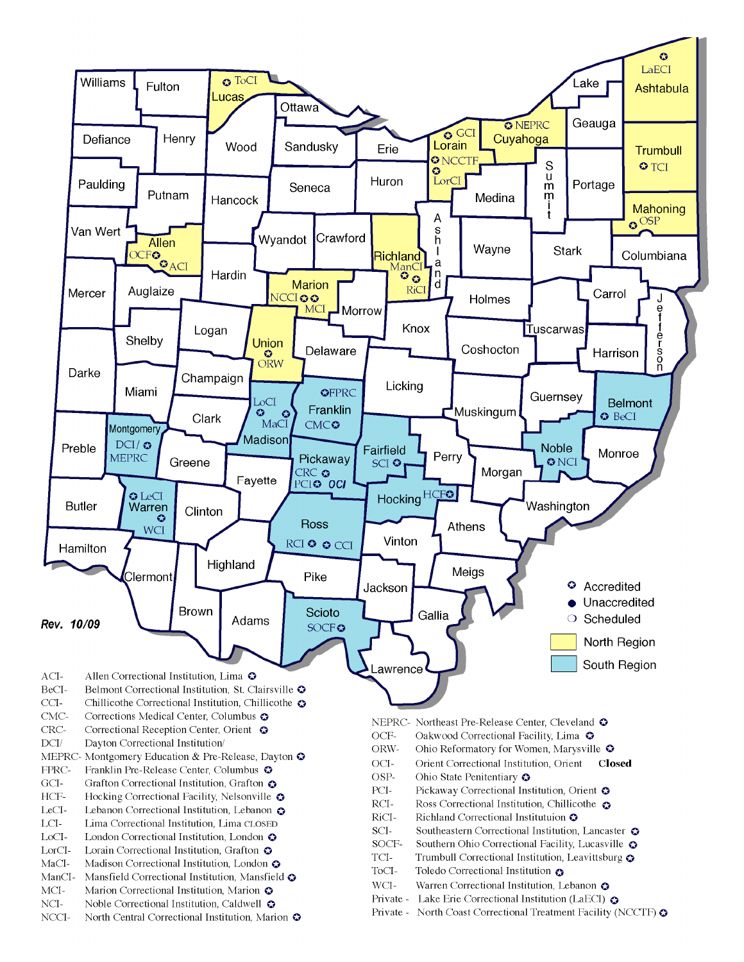